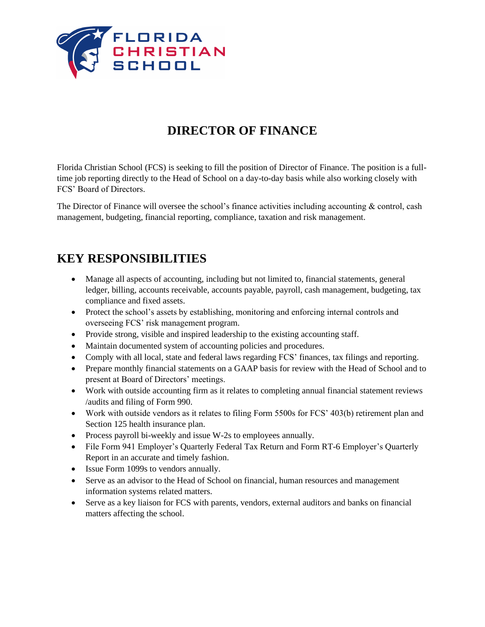

# **DIRECTOR OF FINANCE**

Florida Christian School (FCS) is seeking to fill the position of Director of Finance. The position is a fulltime job reporting directly to the Head of School on a day-to-day basis while also working closely with FCS' Board of Directors.

The Director of Finance will oversee the school's finance activities including accounting & control, cash management, budgeting, financial reporting, compliance, taxation and risk management.

#### **KEY RESPONSIBILITIES**

- Manage all aspects of accounting, including but not limited to, financial statements, general ledger, billing, accounts receivable, accounts payable, payroll, cash management, budgeting, tax compliance and fixed assets.
- Protect the school's assets by establishing, monitoring and enforcing internal controls and overseeing FCS' risk management program.
- Provide strong, visible and inspired leadership to the existing accounting staff.
- Maintain documented system of accounting policies and procedures.
- Comply with all local, state and federal laws regarding FCS' finances, tax filings and reporting.
- Prepare monthly financial statements on a GAAP basis for review with the Head of School and to present at Board of Directors' meetings.
- Work with outside accounting firm as it relates to completing annual financial statement reviews /audits and filing of Form 990.
- Work with outside vendors as it relates to filing Form 5500s for FCS' 403(b) retirement plan and Section 125 health insurance plan.
- Process payroll bi-weekly and issue W-2s to employees annually.
- File Form 941 Employer's Quarterly Federal Tax Return and Form RT-6 Employer's Quarterly Report in an accurate and timely fashion.
- Issue Form 1099s to vendors annually.
- Serve as an advisor to the Head of School on financial, human resources and management information systems related matters.
- Serve as a key liaison for FCS with parents, vendors, external auditors and banks on financial matters affecting the school.